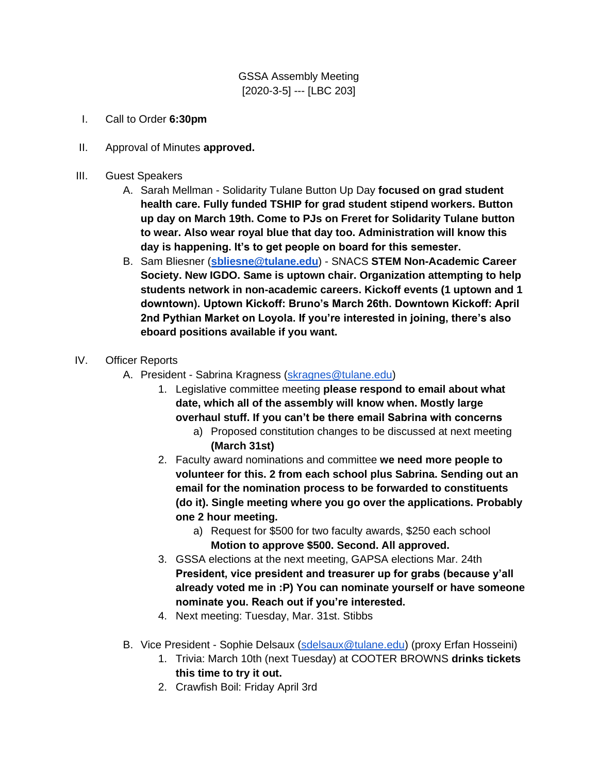GSSA Assembly Meeting [2020-3-5] --- [LBC 203]

- I. Call to Order **6:30pm**
- II. Approval of Minutes **approved.**
- III. Guest Speakers
	- A. Sarah Mellman Solidarity Tulane Button Up Day **focused on grad student health care. Fully funded TSHIP for grad student stipend workers. Button up day on March 19th. Come to PJs on Freret for Solidarity Tulane button to wear. Also wear royal blue that day too. Administration will know this day is happening. It's to get people on board for this semester.**
	- B. Sam Bliesner (**[sbliesne@tulane.edu](mailto:sbliesne@tulane.edu)**) SNACS **STEM Non-Academic Career Society. New IGDO. Same is uptown chair. Organization attempting to help students network in non-academic careers. Kickoff events (1 uptown and 1 downtown). Uptown Kickoff: Bruno's March 26th. Downtown Kickoff: April 2nd Pythian Market on Loyola. If you're interested in joining, there's also eboard positions available if you want.**
- IV. Officer Reports
	- A. President Sabrina Kragness [\(skragnes@tulane.edu\)](mailto:skragnes@tulane.edu)
		- 1. Legislative committee meeting **please respond to email about what date, which all of the assembly will know when. Mostly large overhaul stuff. If you can't be there email Sabrina with concerns**
			- a) Proposed constitution changes to be discussed at next meeting **(March 31st)**
		- 2. Faculty award nominations and committee **we need more people to volunteer for this. 2 from each school plus Sabrina. Sending out an email for the nomination process to be forwarded to constituents (do it). Single meeting where you go over the applications. Probably one 2 hour meeting.** 
			- a) Request for \$500 for two faculty awards, \$250 each school **Motion to approve \$500. Second. All approved.**
		- 3. GSSA elections at the next meeting, GAPSA elections Mar. 24th **President, vice president and treasurer up for grabs (because y'all already voted me in :P) You can nominate yourself or have someone nominate you. Reach out if you're interested.**
		- 4. Next meeting: Tuesday, Mar. 31st. Stibbs
	- B. Vice President Sophie Delsaux [\(sdelsaux@tulane.edu\)](mailto:sdelsaux@tulane.edu) (proxy Erfan Hosseini)
		- 1. Trivia: March 10th (next Tuesday) at COOTER BROWNS **drinks tickets this time to try it out.**
		- 2. Crawfish Boil: Friday April 3rd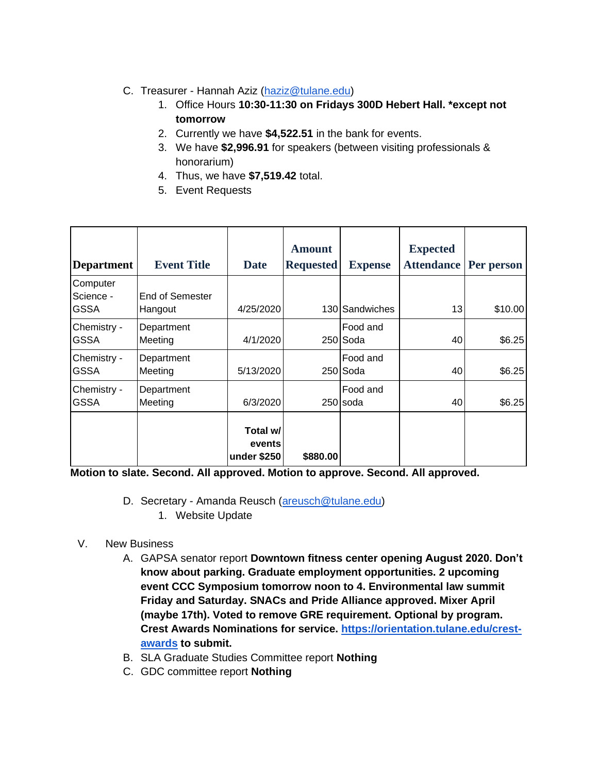- C. Treasurer Hannah Aziz [\(haziz@tulane.edu\)](mailto:haziz@tulane.edu)
	- 1. Office Hours **10:30-11:30 on Fridays 300D Hebert Hall. \*except not tomorrow**
	- 2. Currently we have **\$4,522.51** in the bank for events.
	- 3. We have **\$2,996.91** for speakers (between visiting professionals & honorarium)
	- 4. Thus, we have **\$7,519.42** total.
	- 5. Event Requests

| <b>Department</b>                    | <b>Event Title</b>         | Date                              | <b>Amount</b><br><b>Requested</b> | <b>Expense</b>       | <b>Expected</b><br><b>Attendance</b> | Per person |
|--------------------------------------|----------------------------|-----------------------------------|-----------------------------------|----------------------|--------------------------------------|------------|
| Computer<br>Science -<br><b>GSSA</b> | End of Semester<br>Hangout | 4/25/2020                         |                                   | 130 Sandwiches       | 13                                   | \$10.00    |
| Chemistry -<br><b>GSSA</b>           | Department<br>Meeting      | 4/1/2020                          |                                   | Food and<br>250 Soda | 40                                   | \$6.25     |
| Chemistry -<br><b>GSSA</b>           | Department<br>Meeting      | 5/13/2020                         |                                   | Food and<br>250 Soda | 40                                   | \$6.25     |
| Chemistry -<br><b>GSSA</b>           | Department<br>Meeting      | 6/3/2020                          |                                   | Food and<br>250 soda | 40                                   | \$6.25     |
|                                      |                            | Total w/<br>events<br>under \$250 | \$880.00                          |                      |                                      |            |

**Motion to slate. Second. All approved. Motion to approve. Second. All approved.** 

- D. Secretary Amanda Reusch [\(areusch@tulane.edu\)](mailto:areusch@tulane.edu)
	- 1. Website Update

## V. New Business

- A. GAPSA senator report **Downtown fitness center opening August 2020. Don't know about parking. Graduate employment opportunities. 2 upcoming event CCC Symposium tomorrow noon to 4. Environmental law summit Friday and Saturday. SNACs and Pride Alliance approved. Mixer April (maybe 17th). Voted to remove GRE requirement. Optional by program. Crest Awards Nominations for service. [https://orientation.tulane.edu/crest](https://orientation.tulane.edu/crest-awards)[awards](https://orientation.tulane.edu/crest-awards) to submit.**
- B. SLA Graduate Studies Committee report **Nothing**
- C. GDC committee report **Nothing**